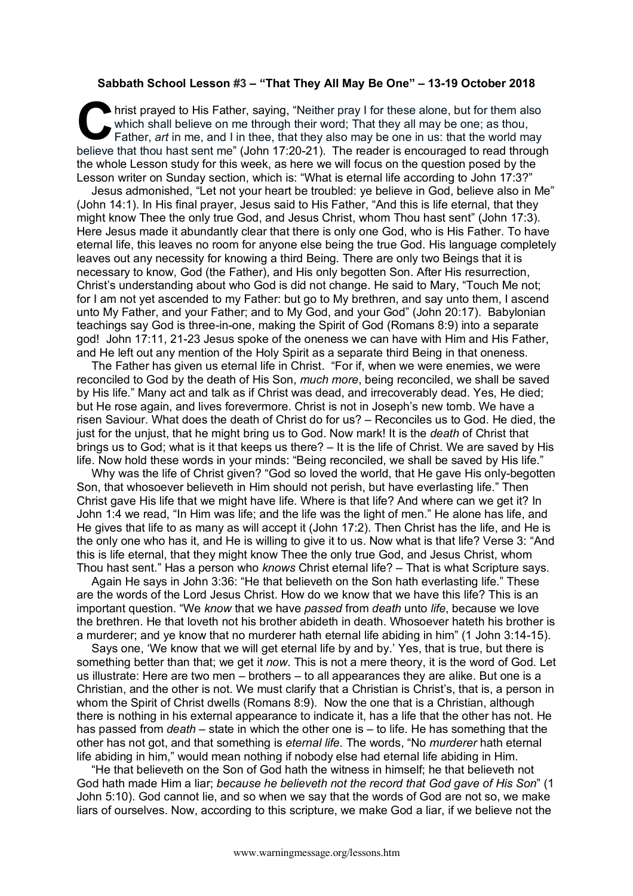## **Sabbath School Lesson #3 – "That They All May Be One" – 13-19 October 2018**

hrist prayed to His Father, saying, "Neither pray I for these alone, but for them also which shall believe on me through their word; That they all may be one; as thou, Father, art in me, and I in thee, that they also may b which shall believe on me through their word: That they all may be one; as thou, Father, *art* in me, and I in thee, that they also may be one in us: that the world may believe that thou hast sent me" (John 17:20-21). The reader is encouraged to read through the whole Lesson study for this week, as here we will focus on the question posed by the Lesson writer on Sunday section, which is: "What is eternal life according to John 17:3?"

Jesus admonished, "Let not your heart be troubled: ye believe in God, believe also in Me" (John 14:1). In His final prayer, Jesus said to His Father, "And this is life eternal, that they might know Thee the only true God, and Jesus Christ, whom Thou hast sent" (John 17:3). Here Jesus made it abundantly clear that there is only one God, who is His Father. To have eternal life, this leaves no room for anyone else being the true God. His language completely leaves out any necessity for knowing a third Being. There are only two Beings that it is necessary to know, God (the Father), and His only begotten Son. After His resurrection, Christ's understanding about who God is did not change. He said to Mary, "Touch Me not; for I am not yet ascended to my Father: but go to My brethren, and say unto them, I ascend unto My Father, and your Father; and to My God, and your God" (John 20:17). Babylonian teachings say God is three-in-one, making the Spirit of God (Romans 8:9) into a separate god! John 17:11, 21-23 Jesus spoke of the oneness we can have with Him and His Father, and He left out any mention of the Holy Spirit as a separate third Being in that oneness.

The Father has given us eternal life in Christ. "For if, when we were enemies, we were reconciled to God by the death of His Son, *much more*, being reconciled, we shall be saved by His life." Many act and talk as if Christ was dead, and irrecoverably dead. Yes, He died; but He rose again, and lives forevermore. Christ is not in Joseph's new tomb. We have a risen Saviour. What does the death of Christ do for us? – Reconciles us to God. He died, the just for the unjust, that he might bring us to God. Now mark! It is the *death* of Christ that brings us to God; what is it that keeps us there? – It is the life of Christ. We are saved by His life. Now hold these words in your minds: "Being reconciled, we shall be saved by His life."

Why was the life of Christ given? "God so loved the world, that He gave His only-begotten Son, that whosoever believeth in Him should not perish, but have everlasting life." Then Christ gave His life that we might have life. Where is that life? And where can we get it? In John 1:4 we read, "In Him was life; and the life was the light of men." He alone has life, and He gives that life to as many as will accept it (John 17:2). Then Christ has the life, and He is the only one who has it, and He is willing to give it to us. Now what is that life? Verse 3: "And this is life eternal, that they might know Thee the only true God, and Jesus Christ, whom Thou hast sent." Has a person who *knows* Christ eternal life? – That is what Scripture says.

Again He says in John 3:36: "He that believeth on the Son hath everlasting life." These are the words of the Lord Jesus Christ. How do we know that we have this life? This is an important question. "We *know* that we have *passed* from *death* unto *life*, because we love the brethren. He that loveth not his brother abideth in death. Whosoever hateth his brother is a murderer; and ye know that no murderer hath eternal life abiding in him" (1 John 3:14-15).

Says one, 'We know that we will get eternal life by and by.' Yes, that is true, but there is something better than that; we get it *now*. This is not a mere theory, it is the word of God. Let us illustrate: Here are two men – brothers – to all appearances they are alike. But one is a Christian, and the other is not. We must clarify that a Christian is Christ's, that is, a person in whom the Spirit of Christ dwells (Romans 8:9). Now the one that is a Christian, although there is nothing in his external appearance to indicate it, has a life that the other has not. He has passed from *death* – state in which the other one is – to life. He has something that the other has not got, and that something is *eternal life*. The words, "No *murderer* hath eternal life abiding in him," would mean nothing if nobody else had eternal life abiding in Him.

"He that believeth on the Son of God hath the witness in himself; he that believeth not God hath made Him a liar; *because he believeth not the record that God gave of His Son*" (1 John 5:10). God cannot lie, and so when we say that the words of God are not so, we make liars of ourselves. Now, according to this scripture, we make God a liar, if we believe not the